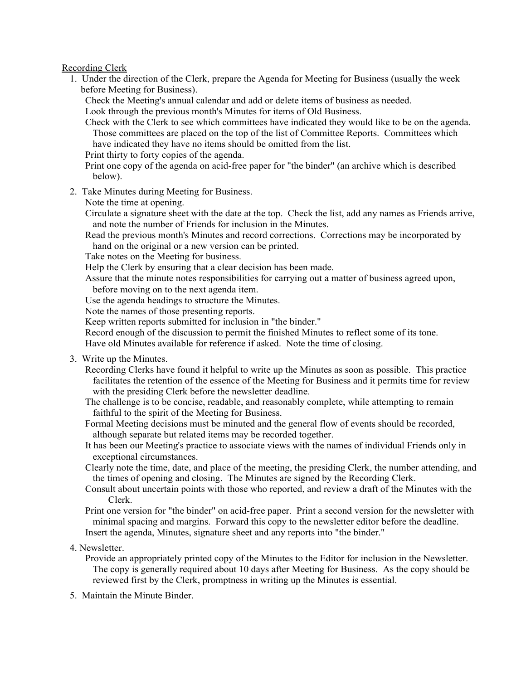## Recording Clerk

1. Under the direction of the Clerk, prepare the Agenda for Meeting for Business (usually the week before Meeting for Business).

Check the Meeting's annual calendar and add or delete items of business as needed.

Look through the previous month's Minutes for items of Old Business.

Check with the Clerk to see which committees have indicated they would like to be on the agenda. Those committees are placed on the top of the list of Committee Reports. Committees which have indicated they have no items should be omitted from the list.

Print thirty to forty copies of the agenda.

Print one copy of the agenda on acid-free paper for "the binder" (an archive which is described below).

2. Take Minutes during Meeting for Business.

Note the time at opening.

Circulate a signature sheet with the date at the top. Check the list, add any names as Friends arrive, and note the number of Friends for inclusion in the Minutes.

Read the previous month's Minutes and record corrections. Corrections may be incorporated by hand on the original or a new version can be printed.

Take notes on the Meeting for business.

Help the Clerk by ensuring that a clear decision has been made.

Assure that the minute notes responsibilities for carrying out a matter of business agreed upon, before moving on to the next agenda item.

Use the agenda headings to structure the Minutes.

Note the names of those presenting reports.

Keep written reports submitted for inclusion in "the binder."

Record enough of the discussion to permit the finished Minutes to reflect some of its tone. Have old Minutes available for reference if asked. Note the time of closing.

3. Write up the Minutes.

Recording Clerks have found it helpful to write up the Minutes as soon as possible. This practice facilitates the retention of the essence of the Meeting for Business and it permits time for review with the presiding Clerk before the newsletter deadline.

The challenge is to be concise, readable, and reasonably complete, while attempting to remain faithful to the spirit of the Meeting for Business.

Formal Meeting decisions must be minuted and the general flow of events should be recorded, although separate but related items may be recorded together.

It has been our Meeting's practice to associate views with the names of individual Friends only in exceptional circumstances.

Clearly note the time, date, and place of the meeting, the presiding Clerk, the number attending, and the times of opening and closing. The Minutes are signed by the Recording Clerk.

Consult about uncertain points with those who reported, and review a draft of the Minutes with the Clerk.

Print one version for "the binder" on acid-free paper. Print a second version for the newsletter with minimal spacing and margins. Forward this copy to the newsletter editor before the deadline. Insert the agenda, Minutes, signature sheet and any reports into "the binder."

4. Newsletter.

Provide an appropriately printed copy of the Minutes to the Editor for inclusion in the Newsletter. The copy is generally required about 10 days after Meeting for Business. As the copy should be reviewed first by the Clerk, promptness in writing up the Minutes is essential.

5. Maintain the Minute Binder.